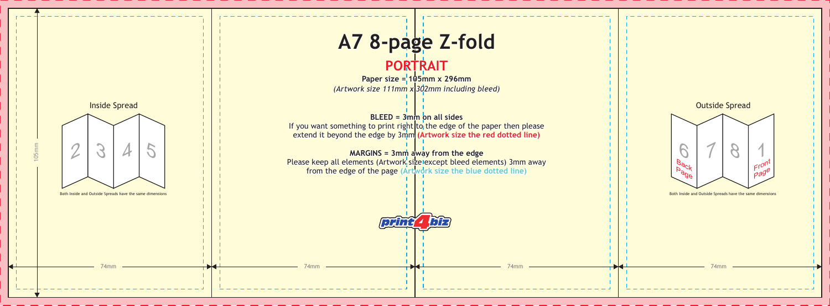